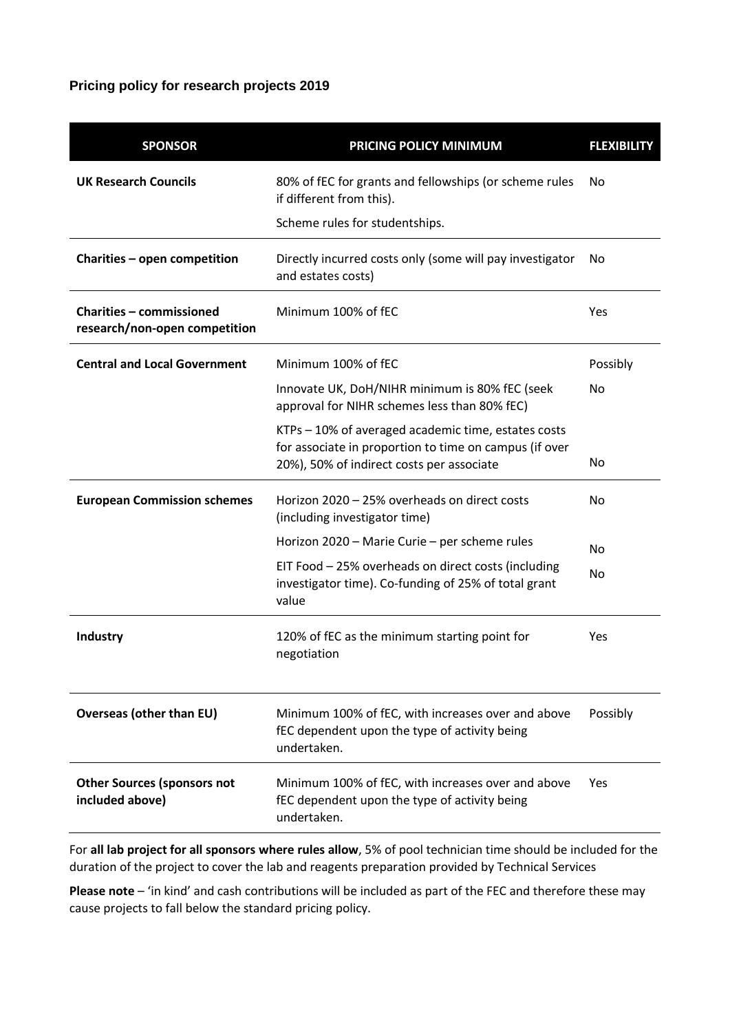# **Pricing policy for research projects 2019**

| <b>SPONSOR</b>                                                   | PRICING POLICY MINIMUM                                                                                                                                     | <b>FLEXIBILITY</b> |
|------------------------------------------------------------------|------------------------------------------------------------------------------------------------------------------------------------------------------------|--------------------|
| <b>UK Research Councils</b>                                      | 80% of fEC for grants and fellowships (or scheme rules<br>if different from this).                                                                         | No.                |
|                                                                  | Scheme rules for studentships.                                                                                                                             |                    |
| Charities - open competition                                     | Directly incurred costs only (some will pay investigator<br>and estates costs)                                                                             | No                 |
| <b>Charities - commissioned</b><br>research/non-open competition | Minimum 100% of fEC                                                                                                                                        | Yes                |
| <b>Central and Local Government</b>                              | Minimum 100% of fEC                                                                                                                                        | Possibly           |
|                                                                  | Innovate UK, DoH/NIHR minimum is 80% fEC (seek<br>approval for NIHR schemes less than 80% fEC)                                                             | No.                |
|                                                                  | KTPs - 10% of averaged academic time, estates costs<br>for associate in proportion to time on campus (if over<br>20%), 50% of indirect costs per associate | No.                |
| <b>European Commission schemes</b>                               | Horizon 2020 - 25% overheads on direct costs<br>(including investigator time)                                                                              | No.                |
|                                                                  | Horizon 2020 - Marie Curie - per scheme rules                                                                                                              | N <sub>o</sub>     |
|                                                                  | EIT Food - 25% overheads on direct costs (including<br>investigator time). Co-funding of 25% of total grant<br>value                                       | N <sub>o</sub>     |
| Industry                                                         | 120% of fEC as the minimum starting point for<br>negotiation                                                                                               | Yes                |
| <b>Overseas (other than EU)</b>                                  | Minimum 100% of fEC, with increases over and above<br>fEC dependent upon the type of activity being<br>undertaken.                                         | Possibly           |
| <b>Other Sources (sponsors not</b><br>included above)            | Minimum 100% of fEC, with increases over and above<br>fEC dependent upon the type of activity being<br>undertaken.                                         | Yes                |

For **all lab project for all sponsors where rules allow**, 5% of pool technician time should be included for the duration of the project to cover the lab and reagents preparation provided by Technical Services

**Please note** – 'in kind' and cash contributions will be included as part of the FEC and therefore these may cause projects to fall below the standard pricing policy.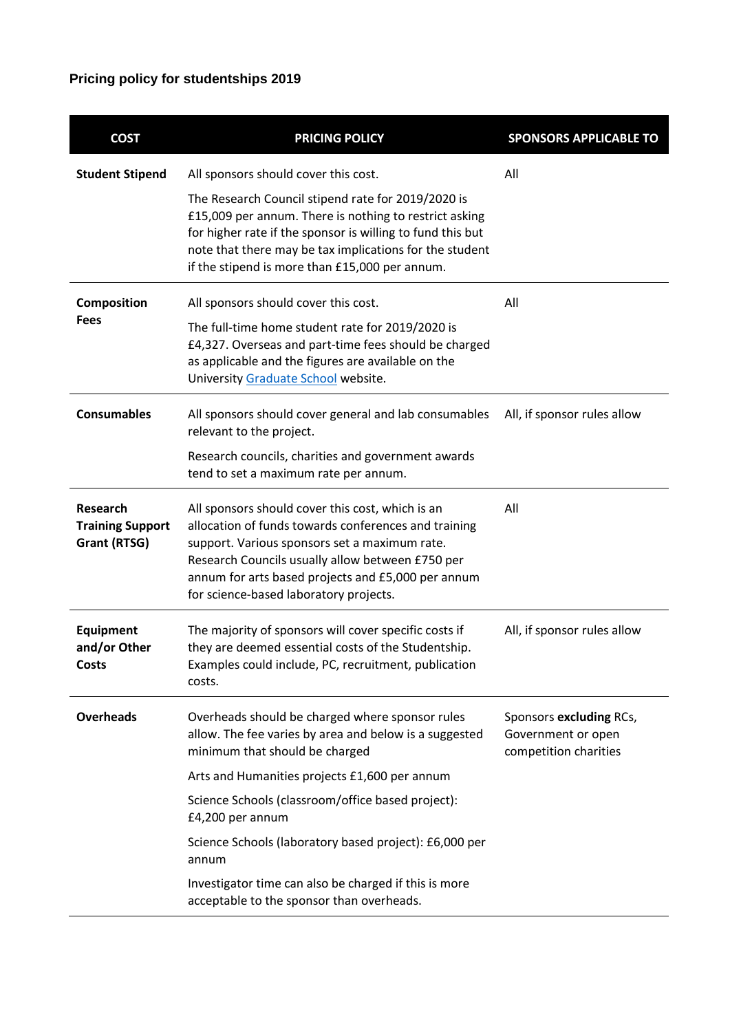# **Pricing policy for studentships 2019**

| <b>COST</b>                                                | <b>PRICING POLICY</b>                                                                                                                                                                                                                                                                                                                                                                             | <b>SPONSORS APPLICABLE TO</b>                                          |
|------------------------------------------------------------|---------------------------------------------------------------------------------------------------------------------------------------------------------------------------------------------------------------------------------------------------------------------------------------------------------------------------------------------------------------------------------------------------|------------------------------------------------------------------------|
| <b>Student Stipend</b>                                     | All sponsors should cover this cost.<br>The Research Council stipend rate for 2019/2020 is<br>£15,009 per annum. There is nothing to restrict asking<br>for higher rate if the sponsor is willing to fund this but<br>note that there may be tax implications for the student<br>if the stipend is more than £15,000 per annum.                                                                   | All                                                                    |
| Composition<br><b>Fees</b>                                 | All sponsors should cover this cost.<br>The full-time home student rate for 2019/2020 is<br>£4,327. Overseas and part-time fees should be charged<br>as applicable and the figures are available on the<br>University Graduate School website.                                                                                                                                                    | All                                                                    |
| <b>Consumables</b>                                         | All sponsors should cover general and lab consumables<br>relevant to the project.<br>Research councils, charities and government awards<br>tend to set a maximum rate per annum.                                                                                                                                                                                                                  | All, if sponsor rules allow                                            |
| <b>Research</b><br><b>Training Support</b><br>Grant (RTSG) | All sponsors should cover this cost, which is an<br>allocation of funds towards conferences and training<br>support. Various sponsors set a maximum rate.<br>Research Councils usually allow between £750 per<br>annum for arts based projects and £5,000 per annum<br>for science-based laboratory projects.                                                                                     | All                                                                    |
| <b>Equipment</b><br>and/or Other<br>Costs                  | The majority of sponsors will cover specific costs if<br>they are deemed essential costs of the Studentship.<br>Examples could include, PC, recruitment, publication<br>costs.                                                                                                                                                                                                                    | All, if sponsor rules allow                                            |
| <b>Overheads</b>                                           | Overheads should be charged where sponsor rules<br>allow. The fee varies by area and below is a suggested<br>minimum that should be charged<br>Arts and Humanities projects £1,600 per annum<br>Science Schools (classroom/office based project):<br>£4,200 per annum<br>Science Schools (laboratory based project): £6,000 per<br>annum<br>Investigator time can also be charged if this is more | Sponsors excluding RCs,<br>Government or open<br>competition charities |
|                                                            | acceptable to the sponsor than overheads.                                                                                                                                                                                                                                                                                                                                                         |                                                                        |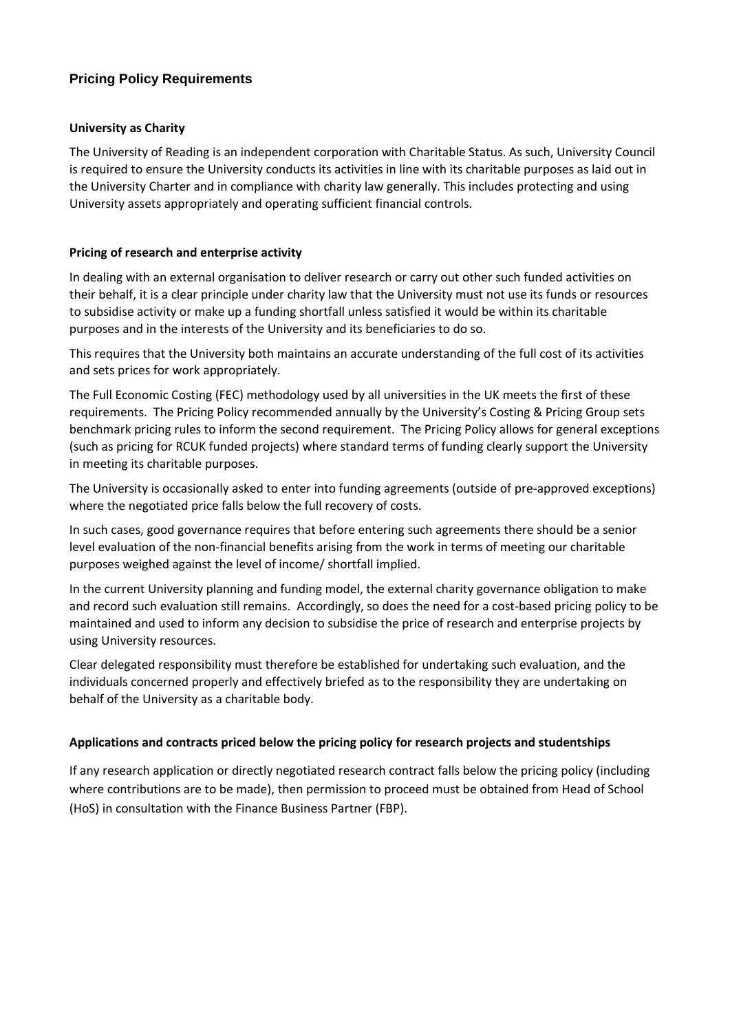## **Pricing Policy Requirements**

#### **University as Charity**

The University of Reading is an independent corporation with Charitable Status. As such, University Council is required to ensure the University conducts its activities in line with its charitable purposes as laid out in the University Charter and in compliance with charity law generally. This includes protecting and using University assets appropriately and operating sufficient financial controls.

#### **Pricing of research and enterprise activity**

In dealing with an external organisation to deliver research or carry out other such funded activities on their behalf, it is a clear principle under charity law that the University must not use its funds or resources to subsidise activity or make up a funding shortfall unless satisfied it would be within its charitable purposes and in the interests of the University and its beneficiaries to do so.

This requires that the University both maintains an accurate understanding of the full cost of its activities and sets prices for work appropriately.

The Full Economic Costing (FEC) methodology used by all universities in the UK meets the first of these requirements. The Pricing Policy recommended annually by the University's Costing & Pricing Group sets benchmark pricing rules to inform the second requirement. The Pricing Policy allows for general exceptions (such as pricing for RCUK funded projects) where standard terms of funding clearly support the University in meeting its charitable purposes.

The University is occasionally asked to enter into funding agreements (outside of pre-approved exceptions) where the negotiated price falls below the full recovery of costs.

In such cases, good governance requires that before entering such agreements there should be a senior level evaluation of the non-financial benefits arising from the work in terms of meeting our charitable purposes weighed against the level of income/ shortfall implied.

In the current University planning and funding model, the external charity governance obligation to make and record such evaluation still remains. Accordingly, so does the need for a cost-based pricing policy to be maintained and used to inform any decision to subsidise the price of research and enterprise projects by using University resources.

Clear delegated responsibility must therefore be established for undertaking such evaluation, and the individuals concerned properly and effectively briefed as to the responsibility they are undertaking on behalf of the University as a charitable body.

#### **Applications and contracts priced below the pricing policy for research projects and studentships**

If any research application or directly negotiated research contract falls below the pricing policy (including where contributions are to be made), then permission to proceed must be obtained from Head of School (HoS) in consultation with the Finance Business Partner (FBP).